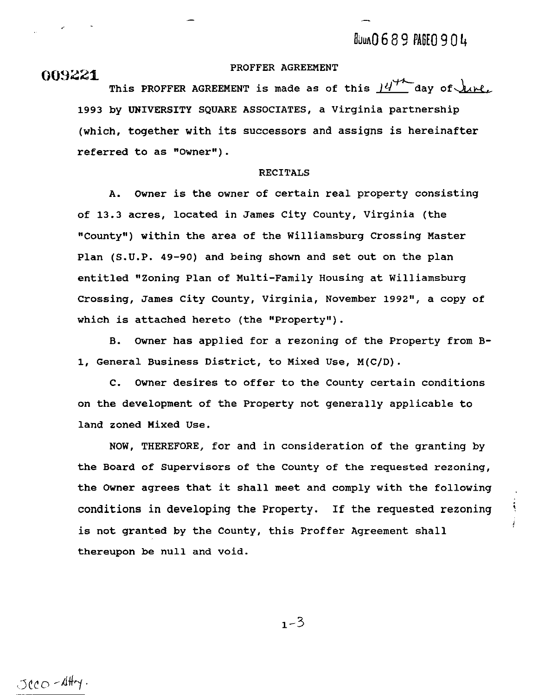# 009221

### PROFFER AGREEMENT

This PROFFER AGREEMENT is made as of this  $M^*$  day of  $M$ 1993 by UNIVERSITY SQUARE ASSOCIATES, a Virginia partnership (which, together with its successors and assigns is hereinafter referred to as "Owner").

## RECITALS

A. Owner is the owner of certain real property consisting of 13.3 acres, located in James City County, Virginia (the "County") within the area of the Williamsburg Crossing Master Plan (S.U.P. 49-90) and being shown and set out on the plan entitled "Zoning Plan of Multi-Family Housing at Williamsburg Crossing, James City County, Virginia, November 1992", a copy of which is attached hereto (the "Property").

B. Owner has applied for a rezoning of the Property from **B-**1, General Business District, to Mixed Use, M(C/D).

C. Owner desires to offer to the County certain conditions on the development of the Property not generally applicable to land zoned Mixed Use.

NOW, THEREFORE, for and in consideration of the granting by the Board of Supervisors of the County of the requested rezoning, the Owner agrees that it shall meet and comply with the following conditions in developing the Property. If the requested rezoning ' is not granted by the County, this Proffer Agreement shall thereupon be null and void.

 $1 - 3$ 

 $JccO - \Delta H + \gamma$ .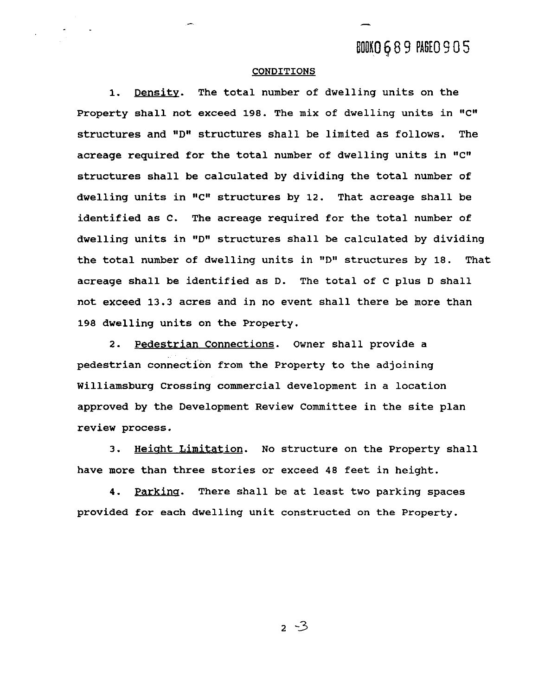-

### **CONDITIONS**

**1.** Density. The total number of dwelling units on the Property shall not exceed **198.** The mix of dwelling units in "C" structures and "D" structures shall be limited as follows. The acreage required for the total number of dwelling units in "C" structures shall be calculated by dividing the total number of dwelling units in "C" structures by 12. That acreage shall be identified as C. The acreage required for the total number of dwelling units in ''D" structures shall be calculated by dividing the total number of dwelling units in "D" structures by 18. That acreage shall be identified as D. The total of C plus D shall not exceed **13.3** acres and in no event shall there be more than **198** dwelling units on the Property.

2. Pedestrian Connections. Owner shall provide a pedestrian connection from the Property to the adjoining Williamsburg Crossing commercial development in a location approved by the Development Review Committee in the site plan review process.

3. Height Limitation. No structure on the Property shall have more than three stories or exceed 48 feet in height.

**4.** Parkinq. There shall be at least two parking spaces provided for each dwelling unit constructed on the Property.

 $2 - 3$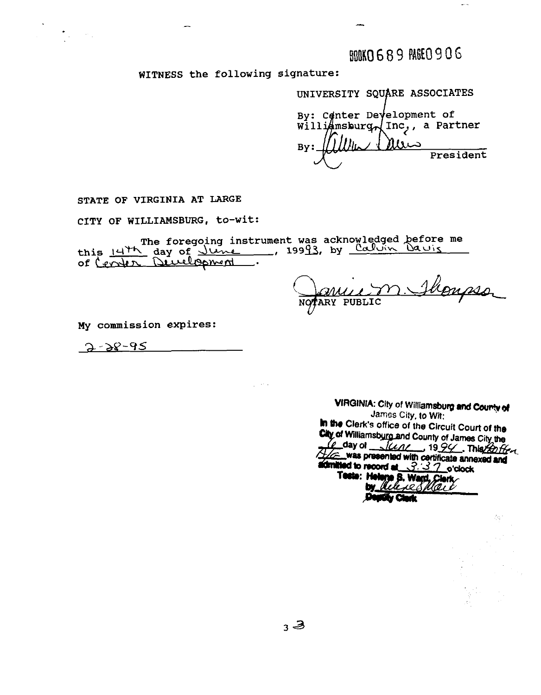**BOKO 689 PAGEO 906** 

WITNESS the following signature:

UNIVERSITY SQUARE ASSOCIATES By: Canter Development of williamsburg<sub>n</sub>(Inc, a Partner  $l\nu$  $By:$ President

STATE OF VIRGINIA AT LARGE

 $\mathcal{F}_{\rm{in}}$  and  $\mathcal{F}_{\rm{in}}$ 

CITY OF WILLIAMSBURG, to-wit:

The foregoing instrument was acknowledged before me this 14th day of June, 19993, by Calvin Davis of Center Divelopment.

 $\sim 10^{-1}$ 

Hompson NOTARY PUBLIC

My commission expires:

 $2 - 28 - 95$ 

VIRGINIA: City of Williamsburg and County of James City, to Wit: In the Clerk's office of the Circuit Court of the City of Williamsburg and County of James City the Le day of June 1994. This 20ther was presented with certificate annexed and admitted to record at 3.37 o'clock Tests: Helene B. Ward, Clerk **Destity Clerk**